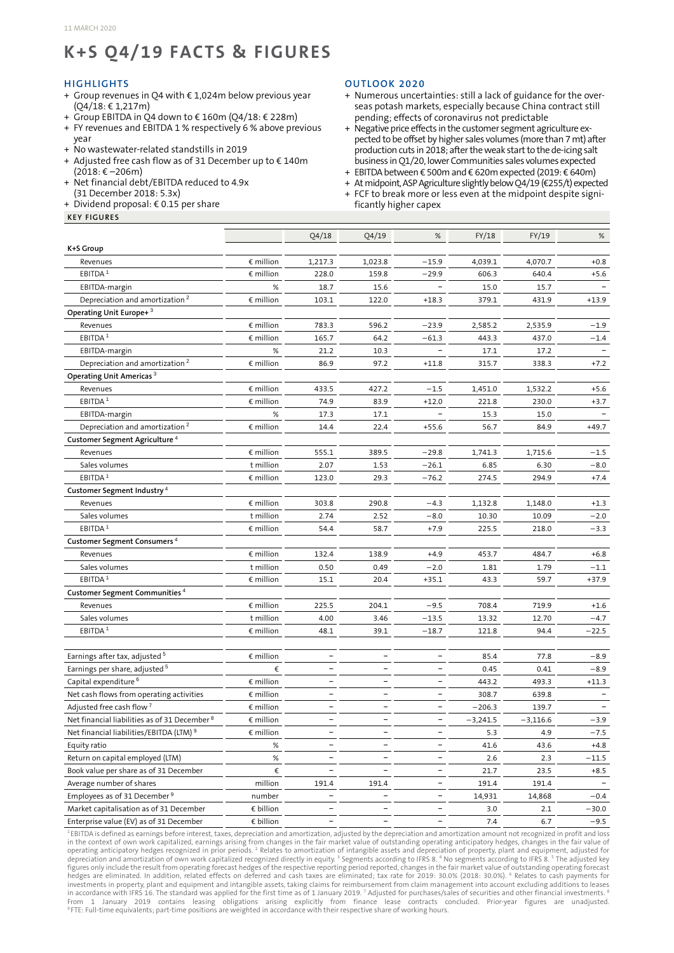# **K+S Q4/19 FACTS & FIGURES**

#### **HIGHLIGHTS**

- + Group revenues in Q4 with € 1,024m below previous year (Q4/18: € 1,217m)
- + Group EBITDA in Q4 down to € 160m (Q4/18: € 228m)
- + FY revenues and EBITDA 1 % respectively 6 % above previous year
- + No wastewater-related standstills in 2019
- + Adjusted free cash flow as of 31 December up to € 140m  $(2018:€-206m)$
- + Net financial debt/EBITDA reduced to 4.9x (31 December 2018: 5.3x)
- + Dividend proposal:  $\epsilon$  0.15 per share

#### **KEY FIGURES**

### **OUTLOOK 2020**

- + Numerous uncertainties: still a lack of guidance for the overseas potash markets, especially because China contract still pending; effects of coronavirus not predictable
- + Negative price effects in the customer segment agriculture expected to be offset by higher sales volumes (more than 7 mt) after production cuts in 2018; afterthe weak start to the de-icing salt business in Q1/20, lower Communities sales volumes expected
- + EBITDA between€ 500m and € 620mexpected (2019: € 640m)
- + At midpoint, ASP Agriculture slightly below Q4/19 (€255/t) expected<br>+ FCF to break more or less even at the midpoint despite signi-
- + FCF to break more or less even at the midpoint despite significantly higher capex

|                                                     |                    | Q4/18                    | Q4/19                    | $\%$                     | FY/18      | FY/19      | $\%$    |
|-----------------------------------------------------|--------------------|--------------------------|--------------------------|--------------------------|------------|------------|---------|
| K+S Group                                           |                    |                          |                          |                          |            |            |         |
| Revenues                                            | $\epsilon$ million | 1,217.3                  | 1,023.8                  | $-15.9$                  | 4,039.1    | 4,070.7    | $+0.8$  |
| EBITDA <sup>1</sup>                                 | € million          | 228.0                    | 159.8                    | $-29.9$                  | 606.3      | 640.4      | $+5.6$  |
| EBITDA-margin                                       | $\%$               | 18.7                     | 15.6                     |                          | 15.0       | 15.7       |         |
| Depreciation and amortization <sup>2</sup>          | € million          | 103.1                    | 122.0                    | $+18.3$                  | 379.1      | 431.9      | $+13.9$ |
| Operating Unit Europe+ <sup>3</sup>                 |                    |                          |                          |                          |            |            |         |
| Revenues                                            | € million          | 783.3                    | 596.2                    | $-23.9$                  | 2,585.2    | 2,535.9    | $-1.9$  |
| EBITDA <sup>1</sup>                                 | $\epsilon$ million | 165.7                    | 64.2                     | $-61.3$                  | 443.3      | 437.0      | $-1.4$  |
| EBITDA-margin                                       | %                  | 21.2                     | 10.3                     |                          | 17.1       | 17.2       |         |
| Depreciation and amortization <sup>2</sup>          | € million          | 86.9                     | 97.2                     | $+11.8$                  | 315.7      | 338.3      | $+7.2$  |
| Operating Unit Americas <sup>3</sup>                |                    |                          |                          |                          |            |            |         |
| Revenues                                            | $\epsilon$ million | 433.5                    | 427.2                    | $-1.5$                   | 1,451.0    | 1,532.2    | $+5.6$  |
| EBITDA <sup>1</sup>                                 | $\epsilon$ million | 74.9                     | 83.9                     | $+12.0$                  | 221.8      | 230.0      | $+3.7$  |
| EBITDA-margin                                       | $\%$               | 17.3                     | 17.1                     |                          | 15.3       | 15.0       |         |
| Depreciation and amortization <sup>2</sup>          | € million          | 14.4                     | 22.4                     | $+55.6$                  | 56.7       | 84.9       | $+49.7$ |
| Customer Segment Agriculture <sup>4</sup>           |                    |                          |                          |                          |            |            |         |
| Revenues                                            | € million          | 555.1                    | 389.5                    | $-29.8$                  | 1,741.3    | 1,715.6    | $-1.5$  |
| Sales volumes                                       | t million          | 2.07                     | 1.53                     | $-26.1$                  | 6.85       | 6.30       | $-8.0$  |
| EBITDA <sup>1</sup>                                 | $\epsilon$ million | 123.0                    | 29.3                     | $-76.2$                  | 274.5      | 294.9      | $+7.4$  |
| Customer Segment Industry <sup>4</sup>              |                    |                          |                          |                          |            |            |         |
| Revenues                                            | € million          | 303.8                    | 290.8                    | $-4.3$                   | 1,132.8    | 1,148.0    | $+1.3$  |
| Sales volumes                                       | t million          | 2.74                     | 2.52                     | $-8.0$                   | 10.30      | 10.09      | $-2.0$  |
| EBITDA <sup>1</sup>                                 | $\epsilon$ million | 54.4                     | 58.7                     | $+7.9$                   | 225.5      | 218.0      | $-3.3$  |
| Customer Segment Consumers <sup>4</sup>             |                    |                          |                          |                          |            |            |         |
| Revenues                                            | $\epsilon$ million | 132.4                    | 138.9                    | $+4.9$                   | 453.7      | 484.7      | $+6.8$  |
| Sales volumes                                       | t million          | 0.50                     | 0.49                     | $-2.0$                   | 1.81       | 1.79       | $-1.1$  |
| EBITDA <sup>1</sup>                                 | $\epsilon$ million | 15.1                     | 20.4                     | $+35.1$                  | 43.3       | 59.7       | $+37.9$ |
| Customer Segment Communities <sup>4</sup>           |                    |                          |                          |                          |            |            |         |
| Revenues                                            | € million          | 225.5                    | 204.1                    | $-9.5$                   | 708.4      | 719.9      | $+1.6$  |
| Sales volumes                                       | t million          | 4.00                     | 3.46                     | $-13.5$                  | 13.32      | 12.70      | $-4.7$  |
| EBITDA <sup>1</sup>                                 | $\epsilon$ million | 48.1                     | 39.1                     | $-18.7$                  | 121.8      | 94.4       | $-22.5$ |
|                                                     |                    |                          |                          |                          |            |            |         |
| Earnings after tax, adjusted <sup>5</sup>           | € million          | $\overline{\phantom{0}}$ | $\overline{\phantom{a}}$ |                          | 85.4       | 77.8       | $-8.9$  |
| Earnings per share, adjusted <sup>5</sup>           | €                  |                          |                          |                          | 0.45       | 0.41       | $-8.9$  |
| Capital expenditure <sup>6</sup>                    | $\epsilon$ million | $\overline{\phantom{0}}$ | $\overline{\phantom{a}}$ |                          | 443.2      | 493.3      | $+11.3$ |
| Net cash flows from operating activities            | $\epsilon$ million |                          |                          |                          | 308.7      | 639.8      |         |
| Adjusted free cash flow <sup>7</sup>                | $\epsilon$ million |                          | $\overline{\phantom{0}}$ |                          | $-206.3$   | 139.7      |         |
| Net financial liabilities as of 31 December 8       | $\epsilon$ million |                          |                          | $\overline{\phantom{a}}$ | $-3,241.5$ | $-3,116.6$ | $-3.9$  |
| Net financial liabilities/EBITDA (LTM) <sup>9</sup> | € million          |                          |                          |                          | 5.3        | 4.9        | $-7.5$  |
| Equity ratio                                        | $\%$               | $\overline{\phantom{a}}$ | $\overline{\phantom{a}}$ | $\overline{\phantom{a}}$ | 41.6       | 43.6       | $+4.8$  |
| Return on capital employed (LTM)                    | $\%$               | $\overline{\phantom{a}}$ | $\overline{\phantom{a}}$ | $\overline{\phantom{a}}$ | 2.6        | 2.3        | $-11.5$ |
| Book value per share as of 31 December              | €                  | $\overline{\phantom{a}}$ | $\overline{\phantom{a}}$ | $\overline{\phantom{a}}$ | 21.7       | 23.5       | $+8.5$  |
| Average number of shares                            | million            | 191.4                    | 191.4                    | $\overline{\phantom{a}}$ | 191.4      | 191.4      |         |
| Employees as of 31 December 9                       | number             |                          | $\overline{\phantom{a}}$ | $\overline{\phantom{a}}$ | 14,931     | 14,868     | $-0.4$  |
| Market capitalisation as of 31 December             | $\epsilon$ billion |                          | -                        | $\overline{\phantom{a}}$ | 3.0        | 2.1        | $-30.0$ |
| Enterprise value (EV) as of 31 December             | € billion          |                          |                          |                          | 7.4        | 6.7        | $-9.5$  |
|                                                     |                    |                          |                          |                          |            |            |         |

<sup>1</sup>EBITDA is defined as earnings before interest, taxes, depreciation and amortization, adjusted by the depreciation and amortization amount not recognized in profit and loss<br>in the context of own work capitalized, earning operating anticipatory hedges recognized in prior periods. <sup>2</sup> Relates to amortization of intangible assets and depreciation of property, plant and equipment, adjusted for<br>figures only include the result from operating for investments in property, plant and equipment and intangible assets, taking claims for reimbursement from claim management into account excluding additions to leases<br>in accordance with IFRS 16. The standard was applied for From 1 January 2019 contains leasing obligations arising explicitly from finance lease contracts concluded. Prior-year figures are unadjusted.<br>°FTE:Full-time-equivalents;-part-time-positions-are-weighted-in-accordance-with